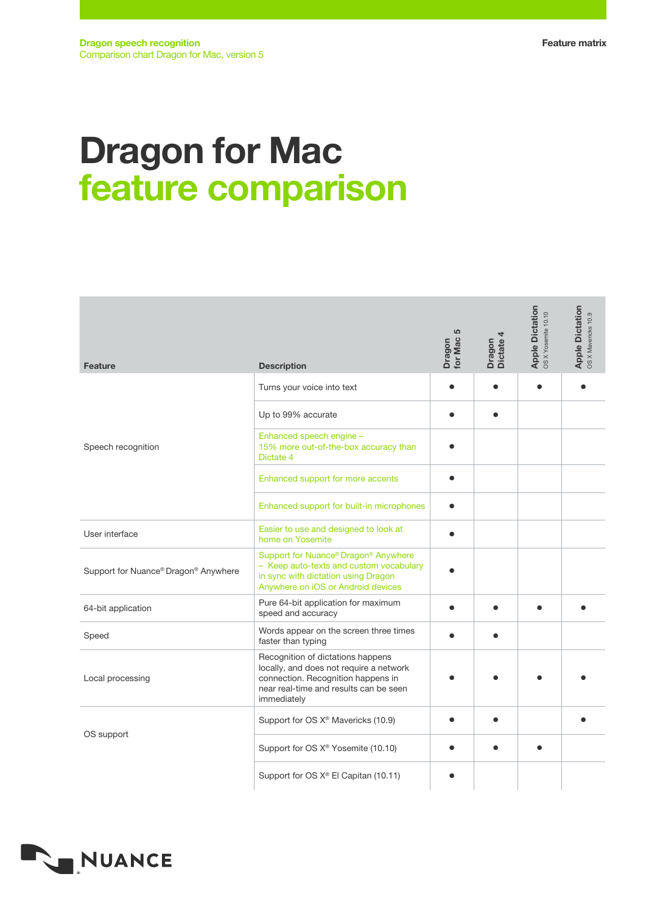## Dragon for Mac feature comparison

| <b>Feature</b>                       | <b>Description</b>                                                                                                                                                          | LO<br>for Mac<br>Dragon | Dragon<br>Dictate 4 | Apple Dictation<br>OSXYosemite 10.10 | <b>Apple Dictation</b><br>OS X Mavericks 10.9 |
|--------------------------------------|-----------------------------------------------------------------------------------------------------------------------------------------------------------------------------|-------------------------|---------------------|--------------------------------------|-----------------------------------------------|
| Speech recognition                   | Turns your voice into text                                                                                                                                                  |                         | $\bullet$           | $\bullet$                            |                                               |
|                                      | Up to 99% accurate                                                                                                                                                          |                         |                     |                                      |                                               |
|                                      | Enhanced speech engine -<br>15% more out-of-the-box accuracy than<br>Dictate 4                                                                                              |                         |                     |                                      |                                               |
|                                      | Enhanced support for more accents                                                                                                                                           |                         |                     |                                      |                                               |
|                                      | Enhanced support for built-in microphones                                                                                                                                   |                         |                     |                                      |                                               |
| User interface                       | Easier to use and designed to look at<br>home on Yosemite                                                                                                                   |                         |                     |                                      |                                               |
| Support for Nuance® Dragon® Anywhere | Support for Nuance® Dragon® Anywhere<br>- Keep auto-texts and custom vocabulary<br>in sync with dictation using Dragon<br>Anywhere on iOS or Android devices                |                         |                     |                                      |                                               |
| 64-bit application                   | Pure 64-bit application for maximum<br>speed and accuracy                                                                                                                   |                         |                     |                                      |                                               |
| Speed                                | Words appear on the screen three times<br>faster than typing                                                                                                                |                         |                     |                                      |                                               |
| Local processing                     | Recognition of dictations happens<br>locally, and does not require a network<br>connection. Recognition happens in<br>near real-time and results can be seen<br>immediately |                         |                     |                                      |                                               |
| OS support                           | Support for OS X <sup>®</sup> Mavericks (10.9)                                                                                                                              |                         |                     |                                      |                                               |
|                                      | Support for OS X <sup>®</sup> Yosemite (10.10)                                                                                                                              |                         |                     |                                      |                                               |
|                                      | Support for OS X® El Capitan (10.11)                                                                                                                                        |                         |                     |                                      |                                               |

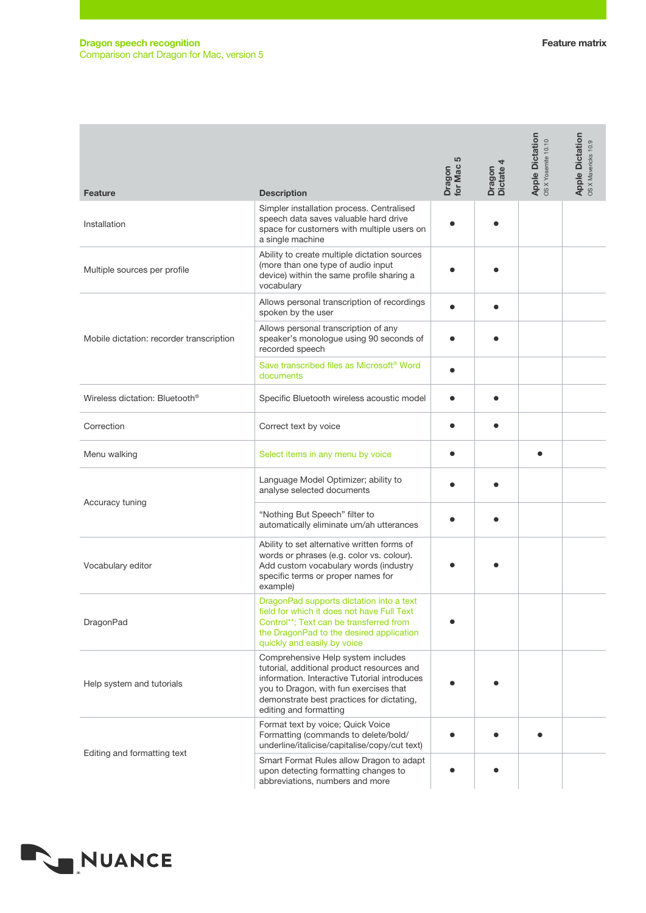## Dragon speech recognition Comparison chart Dragon for Mac, version 5

| <b>Feature</b>                             | <b>Description</b>                                                                                                                                                                                                                                | 5<br>Dragon<br>for Mac! | Dragon<br>Dictate 4 | Apple Dictation<br>OSXYosemite 10.10 | <b>Apple Dictation</b><br>OSXMavericks 10.9 |
|--------------------------------------------|---------------------------------------------------------------------------------------------------------------------------------------------------------------------------------------------------------------------------------------------------|-------------------------|---------------------|--------------------------------------|---------------------------------------------|
| Installation                               | Simpler installation process. Centralised<br>speech data saves valuable hard drive<br>space for customers with multiple users on<br>a single machine                                                                                              |                         |                     |                                      |                                             |
| Multiple sources per profile               | Ability to create multiple dictation sources<br>(more than one type of audio input<br>device) within the same profile sharing a<br>vocabulary                                                                                                     |                         |                     |                                      |                                             |
| Mobile dictation: recorder transcription   | Allows personal transcription of recordings<br>spoken by the user                                                                                                                                                                                 |                         |                     |                                      |                                             |
|                                            | Allows personal transcription of any<br>speaker's monologue using 90 seconds of<br>recorded speech                                                                                                                                                |                         |                     |                                      |                                             |
|                                            | Save transcribed files as Microsoft <sup>®</sup> Word<br>documents                                                                                                                                                                                |                         |                     |                                      |                                             |
| Wireless dictation: Bluetooth <sup>®</sup> | Specific Bluetooth wireless acoustic model                                                                                                                                                                                                        |                         |                     |                                      |                                             |
| Correction                                 | Correct text by voice                                                                                                                                                                                                                             |                         | $\bullet$           |                                      |                                             |
| Menu walking                               | Select items in any menu by voice                                                                                                                                                                                                                 |                         |                     |                                      |                                             |
| Accuracy tuning                            | Language Model Optimizer; ability to<br>analyse selected documents                                                                                                                                                                                |                         |                     |                                      |                                             |
|                                            | "Nothing But Speech" filter to<br>automatically eliminate um/ah utterances                                                                                                                                                                        |                         |                     |                                      |                                             |
| Vocabulary editor                          | Ability to set alternative written forms of<br>words or phrases (e.g. color vs. colour).<br>Add custom vocabulary words (industry<br>specific terms or proper names for<br>example)                                                               |                         |                     |                                      |                                             |
| DragonPad                                  | DragonPad supports dictation into a text<br>field for which it does not have Full Text<br>Control**; Text can be transferred from<br>the DragonPad to the desired application<br>quickly and easily by voice                                      |                         |                     |                                      |                                             |
| Help system and tutorials                  | Comprehensive Help system includes<br>tutorial, additional product resources and<br>information. Interactive Tutorial introduces<br>you to Dragon, with fun exercises that<br>demonstrate best practices for dictating,<br>editing and formatting |                         |                     |                                      |                                             |
| Editing and formatting text                | Format text by voice; Quick Voice<br>Formatting (commands to delete/bold/<br>underline/italicise/capitalise/copy/cut text)                                                                                                                        |                         |                     |                                      |                                             |
|                                            | Smart Format Rules allow Dragon to adapt<br>upon detecting formatting changes to<br>abbreviations, numbers and more                                                                                                                               |                         |                     |                                      |                                             |